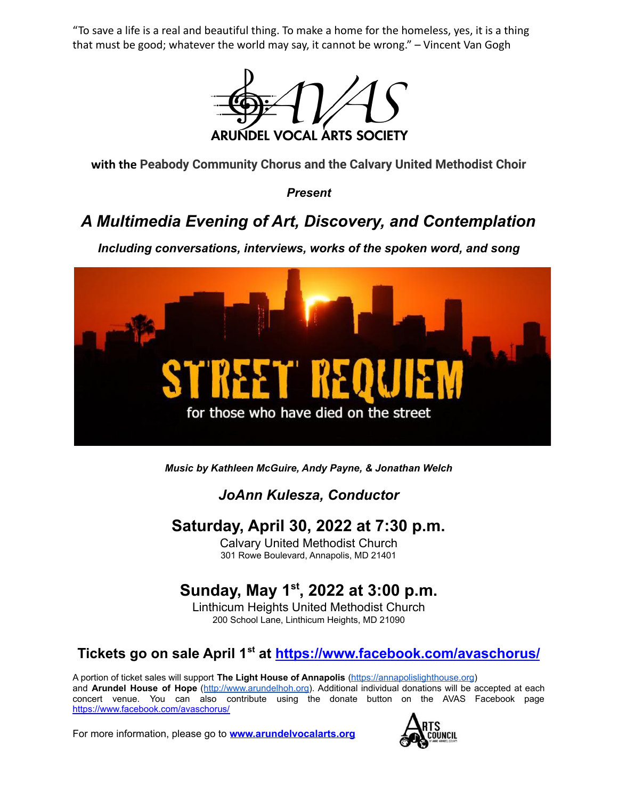"To save a life is a real and beautiful thing. To make a home for the homeless, yes, it is a thing that must be good; whatever the world may say, it cannot be wrong." – Vincent Van Gogh



**with the Peabody Community Chorus and the Calvary United Methodist Choir**

*Present*

# *A Multimedia Evening of Art, Discovery, and Contemplation*

*Including conversations, interviews, works of the spoken word, and song*



*Music by Kathleen McGuire, Andy Payne, & Jonathan Welch*

#### *JoAnn Kulesza, Conductor*

## **Saturday, April 30, 2022 at 7:30 p.m.**

Calvary United Methodist Church 301 Rowe Boulevard, Annapolis, MD 21401

# **Sunday, May 1 st , 2022 at 3:00 p.m.**

Linthicum Heights United Methodist Church 200 School Lane, Linthicum Heights, MD 21090

#### **Tickets go on sale April 1 st at <https://www.facebook.com/avaschorus/>**

A portion of ticket sales will support **The Light House of Annapolis** [\(https://annapolislighthouse.org](https://annapolislighthouse.org)) and **Arundel House of Hope** (<http://www.arundelhoh.org>). Additional individual donations will be accepted at each concert venue. You can also contribute using the donate button on the AVAS Facebook page <https://www.facebook.com/avaschorus/>

For more information, please go to **[www.arundelvocalarts.org](http://www.arundelvocalarts.org)**